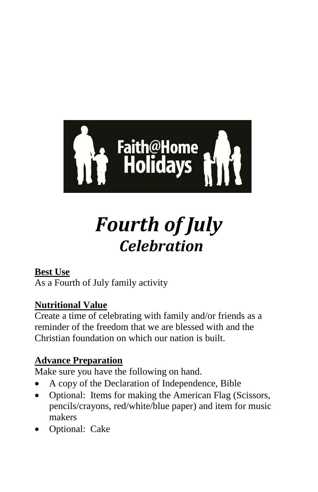

# *Fourth of July Celebration*

### **Best Use**

As a Fourth of July family activity

## **Nutritional Value**

Create a time of celebrating with family and/or friends as a reminder of the freedom that we are blessed with and the Christian foundation on which our nation is built.

## **Advance Preparation**

Make sure you have the following on hand.

- A copy of the Declaration of Independence, Bible
- Optional: Items for making the American Flag (Scissors, pencils/crayons, red/white/blue paper) and item for music makers
- Optional: Cake